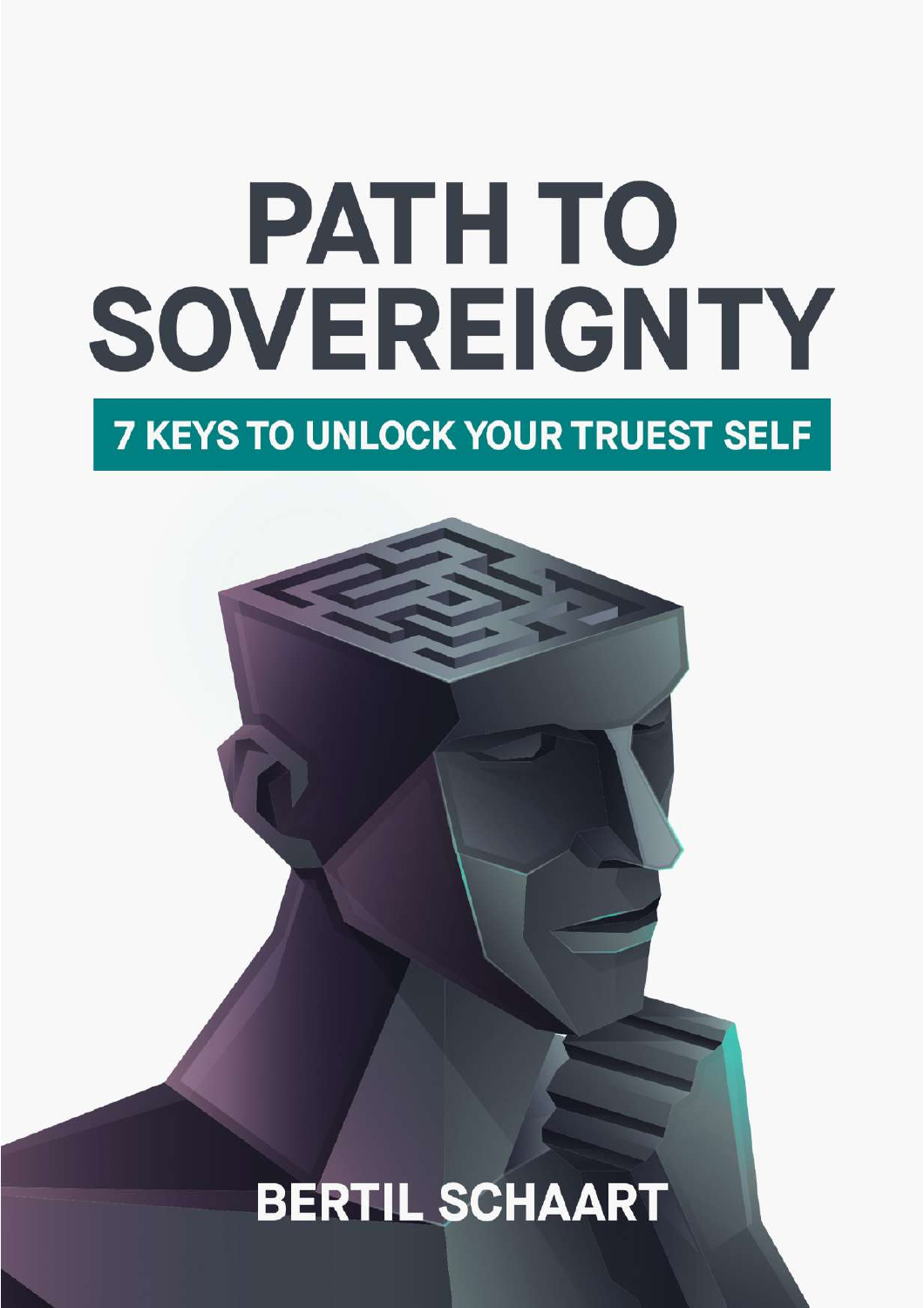# **PATH TO** SOVEREIGNTY **7 KEYS TO UNLOCK YOUR TRUEST SELF**

**BERTIL SCHAART**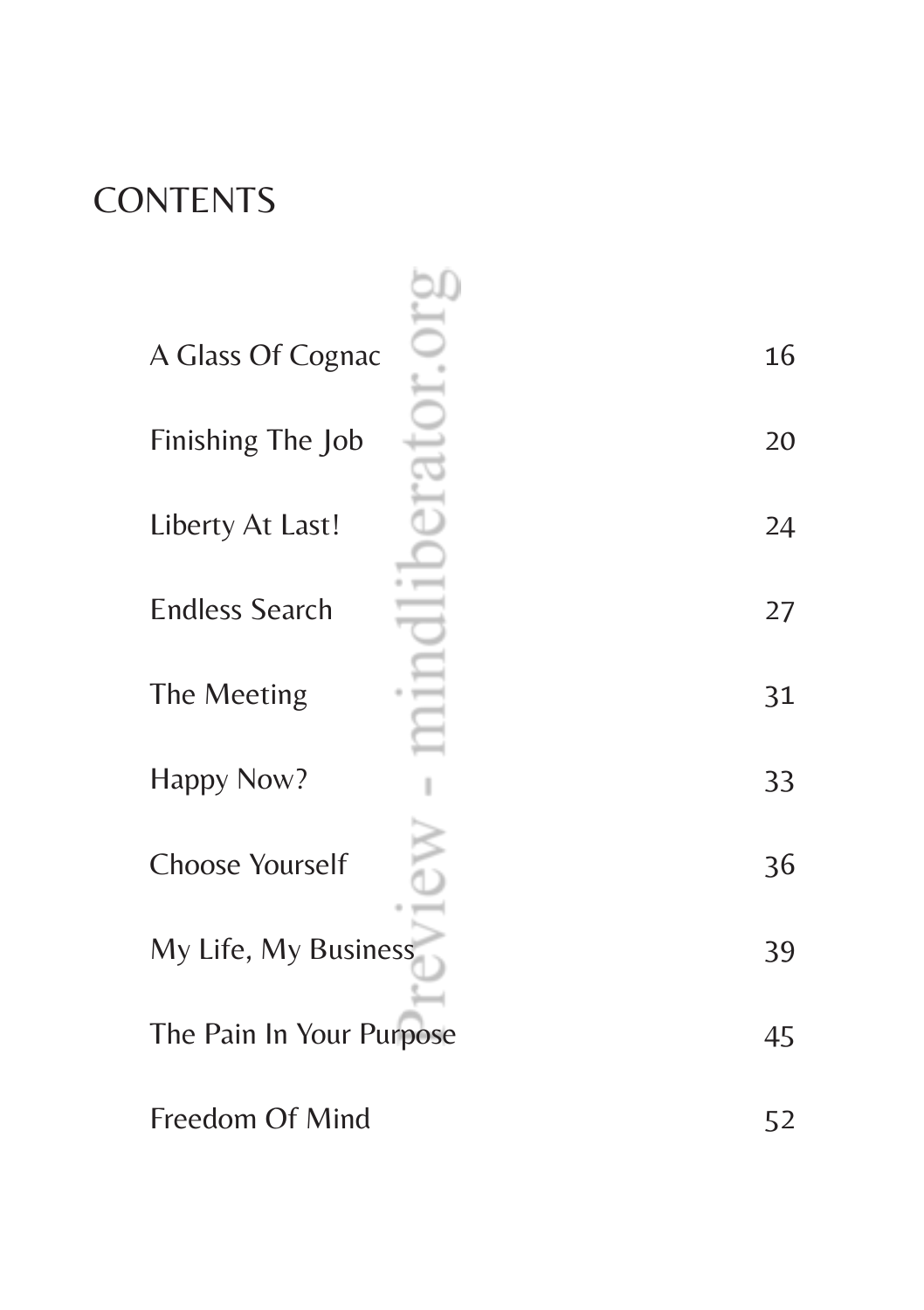## **CONTENTS**

| A Glass Of Cognac        | 16 |
|--------------------------|----|
| Finishing The Job        | 20 |
| Liberty At Last!         | 24 |
| <b>Endless Search</b>    | 27 |
| The Meeting              | 31 |
| Happy Now?               | 33 |
| <b>Choose Yourself</b>   | 36 |
| My Life, My Business     | 39 |
| The Pain In Your Purpose | 45 |
| Freedom Of Mind          | 52 |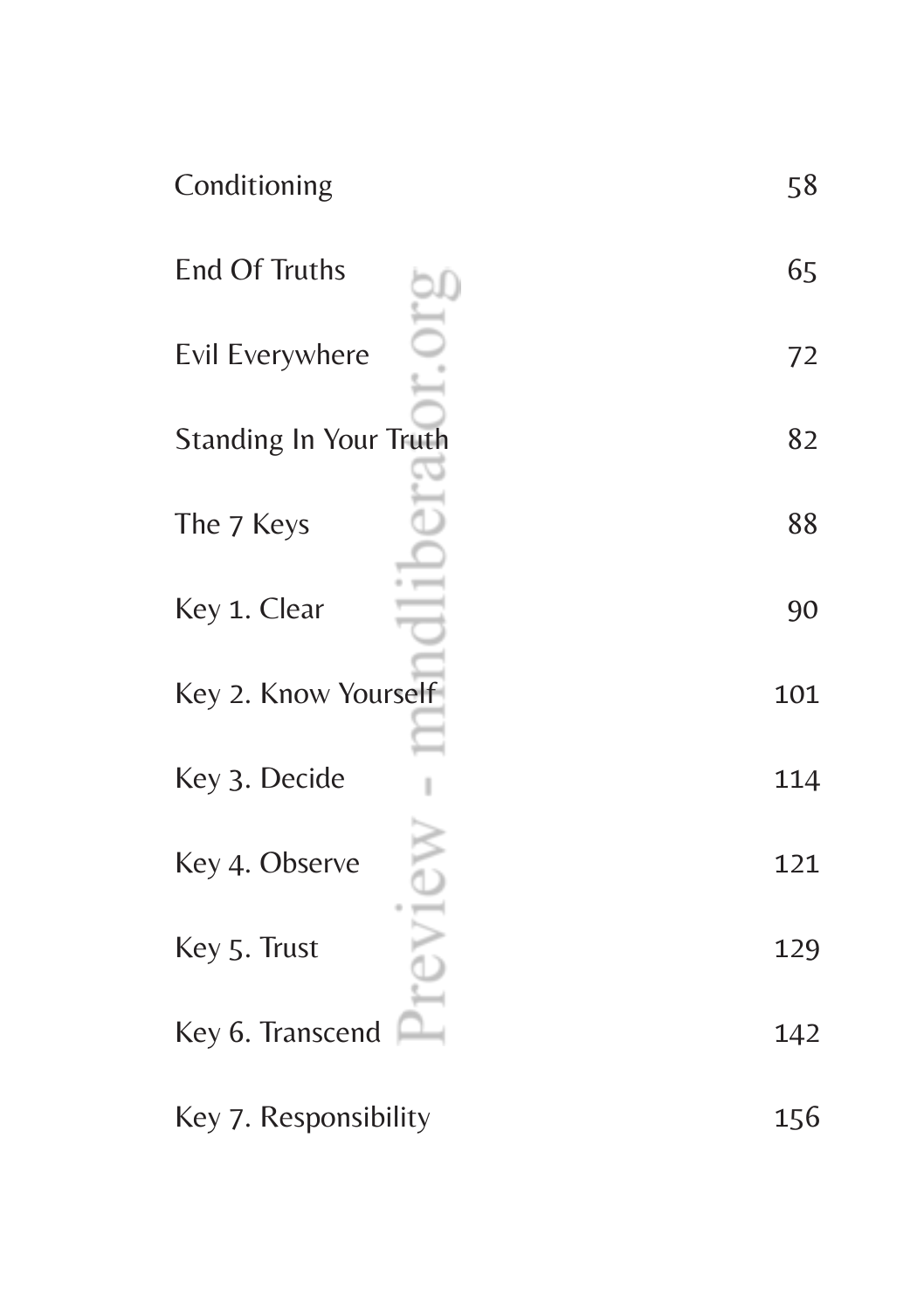| Conditioning                  | 58  |
|-------------------------------|-----|
| <b>End Of Truths</b>          | 65  |
| Evil Everywhere               | 72  |
| <b>Standing In Your Truth</b> | 82  |
| The 7 Keys                    | 88  |
| Key 1. Clear                  | 90  |
| Key 2. Know Yourself          | 101 |
| Key 3. Decide                 | 114 |
| Key 4. Observe                | 121 |
| Key 5. Trust                  | 129 |
| Key 6. Transcend              | 142 |
| Key 7. Responsibility         | 156 |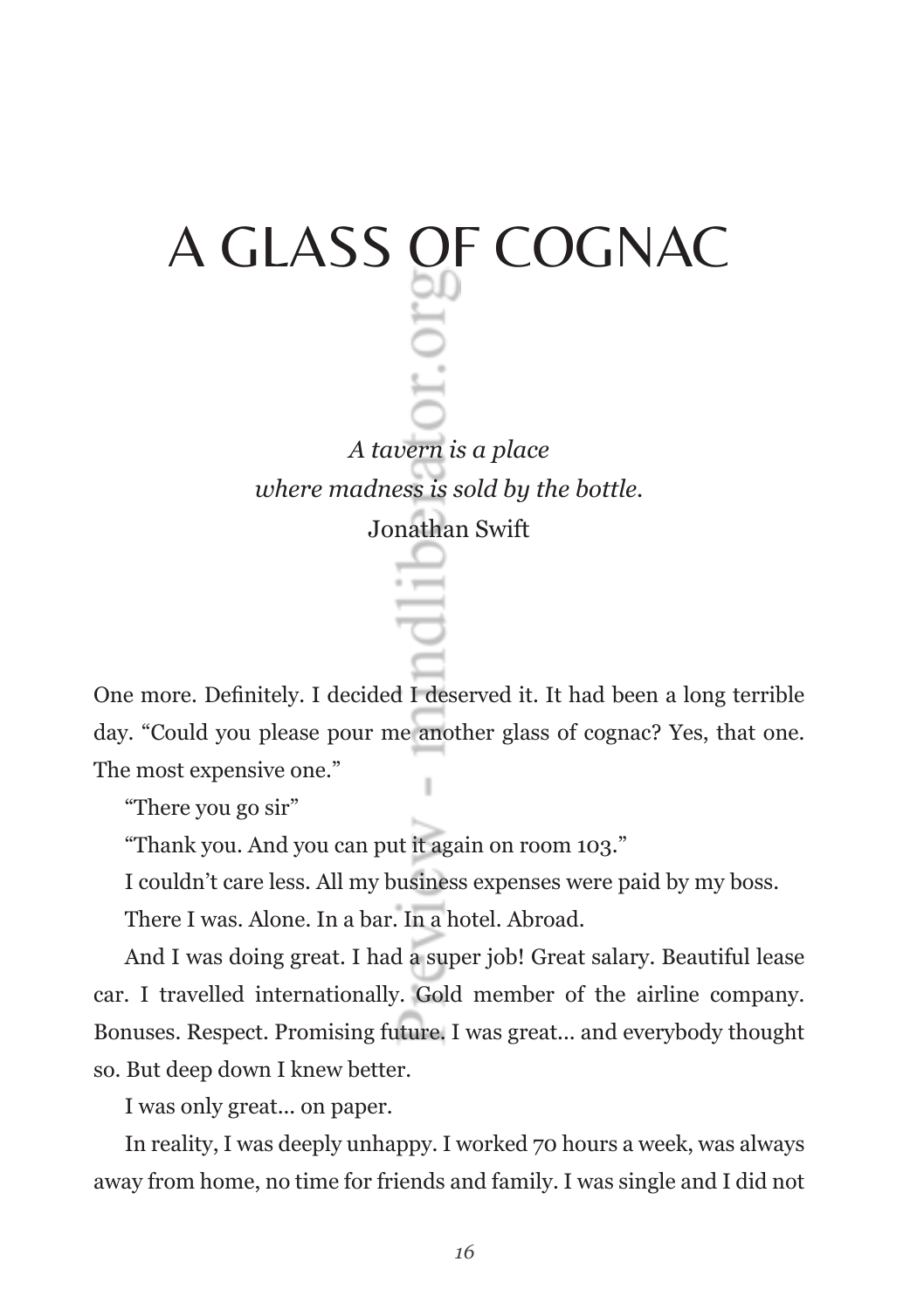# A GLASS OF COGNAC *A tavern is a place where madness is sold by the bottle.*  Jonathan Swift

One more. Definitely. I decided I deserved it. It had been a long terrible day. "Could you please pour me another glass of cognac? Yes, that one. The most expensive one."

"There you go sir"

"Thank you. And you can put it again on room 103."

I couldn't care less. All my business expenses were paid by my boss.

There I was. Alone. In a bar. In a hotel. Abroad.

And I was doing great. I had a super job! Great salary. Beautiful lease car. I travelled internationally. Gold member of the airline company. Bonuses. Respect. Promising future. I was great... and everybody thought so. But deep down I knew better.

I was only great... on paper.

In reality, I was deeply unhappy. I worked 70 hours a week, was always away from home, no time for friends and family. I was single and I did not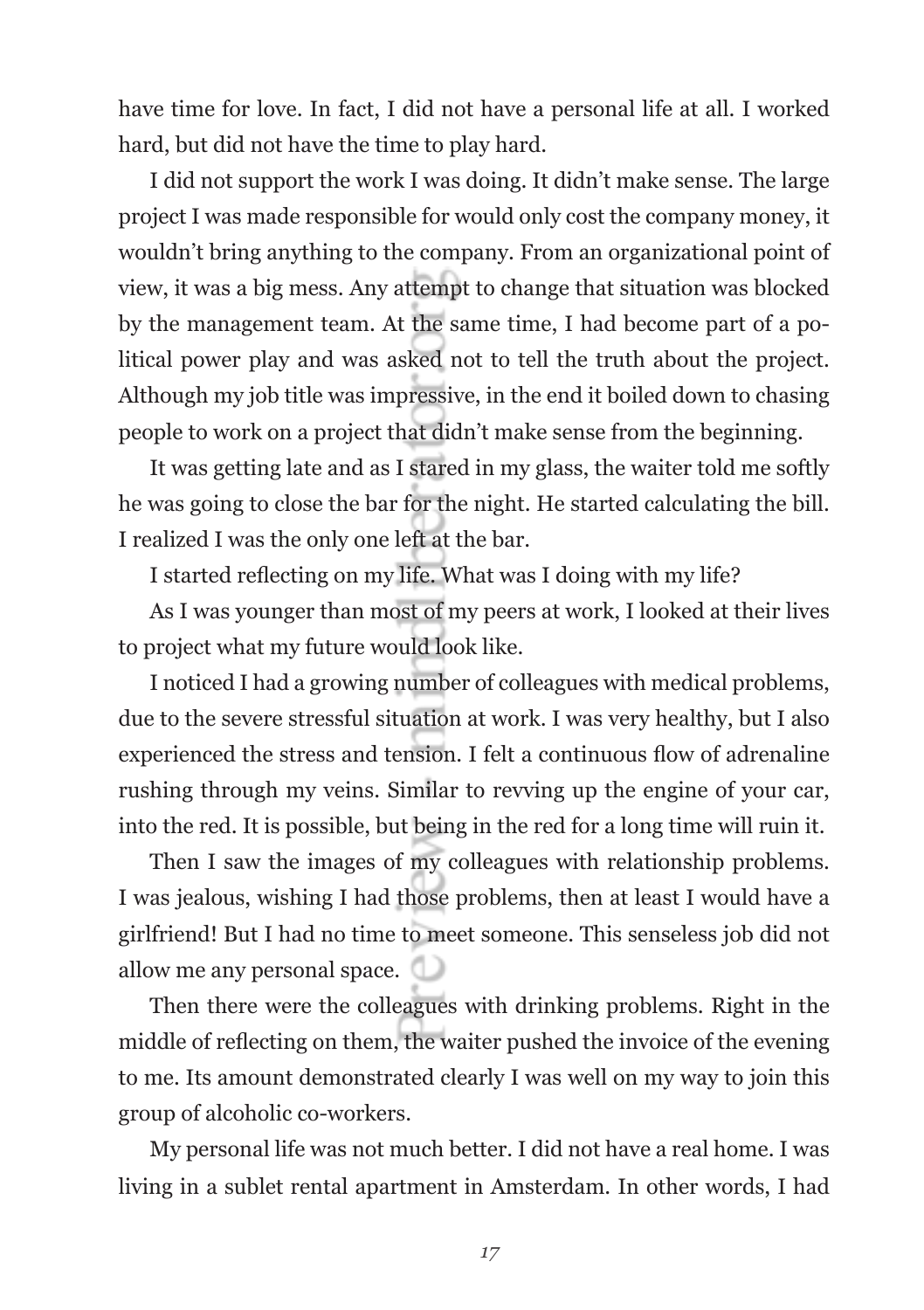have time for love. In fact, I did not have a personal life at all. I worked hard, but did not have the time to play hard.

I did not support the work I was doing. It didn't make sense. The large project I was made responsible for would only cost the company money, it wouldn't bring anything to the company. From an organizational point of view, it was a big mess. Any attempt to change that situation was blocked by the management team. At the same time, I had become part of a political power play and was asked not to tell the truth about the project. Although my job title was impressive, in the end it boiled down to chasing people to work on a project that didn't make sense from the beginning.

It was getting late and as I stared in my glass, the waiter told me softly he was going to close the bar for the night. He started calculating the bill. I realized I was the only one left at the bar.

I started reflecting on my life. What was I doing with my life?

As I was younger than most of my peers at work, I looked at their lives to project what my future would look like.

I noticed I had a growing number of colleagues with medical problems, due to the severe stressful situation at work. I was very healthy, but I also experienced the stress and tension. I felt a continuous flow of adrenaline rushing through my veins. Similar to revving up the engine of your car, into the red. It is possible, but being in the red for a long time will ruin it.

Then I saw the images of my colleagues with relationship problems. I was jealous, wishing I had those problems, then at least I would have a girlfriend! But I had no time to meet someone. This senseless job did not allow me any personal space.

Then there were the colleagues with drinking problems. Right in the middle of reflecting on them, the waiter pushed the invoice of the evening to me. Its amount demonstrated clearly I was well on my way to join this group of alcoholic co-workers.

My personal life was not much better. I did not have a real home. I was living in a sublet rental apartment in Amsterdam. In other words, I had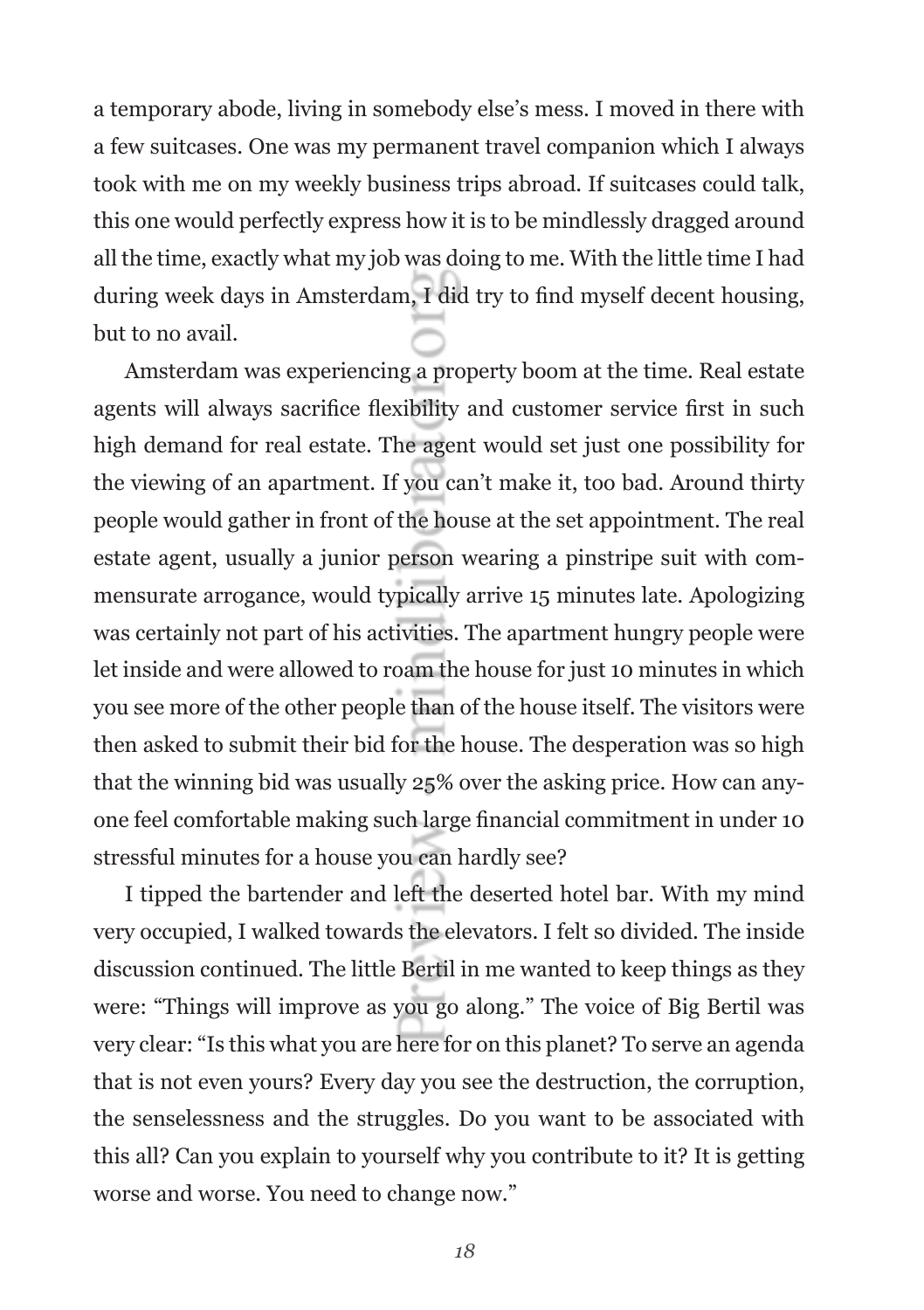a temporary abode, living in somebody else's mess. I moved in there with a few suitcases. One was my permanent travel companion which I always took with me on my weekly business trips abroad. If suitcases could talk, this one would perfectly express how it is to be mindlessly dragged around all the time, exactly what my job was doing to me. With the little time I had during week days in Amsterdam, I did try to find myself decent housing, but to no avail.

Amsterdam was experiencing a property boom at the time. Real estate agents will always sacrifice flexibility and customer service first in such high demand for real estate. The agent would set just one possibility for the viewing of an apartment. If you can't make it, too bad. Around thirty people would gather in front of the house at the set appointment. The real estate agent, usually a junior person wearing a pinstripe suit with commensurate arrogance, would typically arrive 15 minutes late. Apologizing was certainly not part of his activities. The apartment hungry people were let inside and were allowed to roam the house for just 10 minutes in which you see more of the other people than of the house itself. The visitors were then asked to submit their bid for the house. The desperation was so high that the winning bid was usually 25% over the asking price. How can anyone feel comfortable making such large financial commitment in under 10 stressful minutes for a house you can hardly see?

I tipped the bartender and left the deserted hotel bar. With my mind very occupied, I walked towards the elevators. I felt so divided. The inside discussion continued. The little Bertil in me wanted to keep things as they were: "Things will improve as you go along." The voice of Big Bertil was very clear: "Is this what you are here for on this planet? To serve an agenda that is not even yours? Every day you see the destruction, the corruption, the senselessness and the struggles. Do you want to be associated with this all? Can you explain to yourself why you contribute to it? It is getting worse and worse. You need to change now."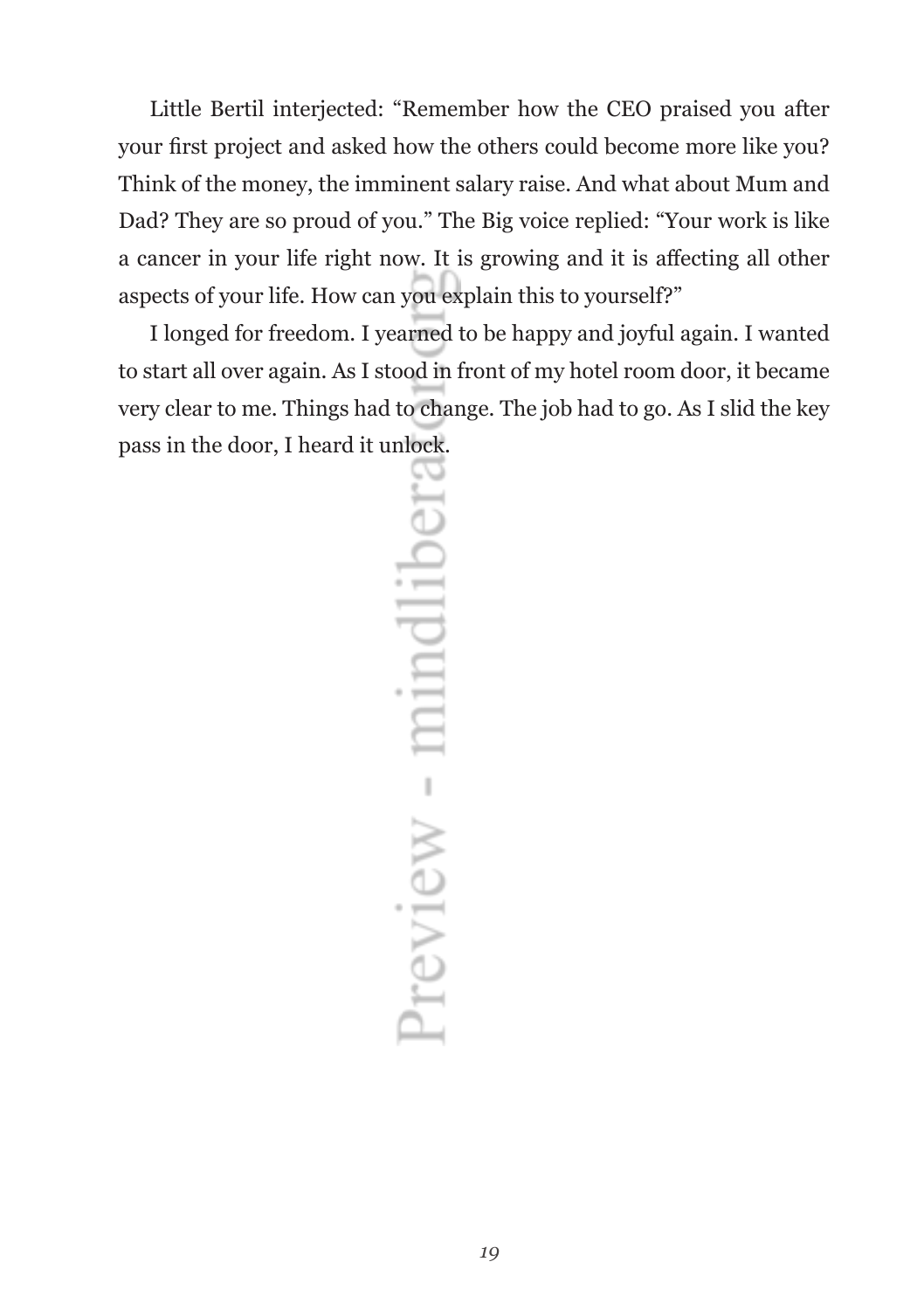Little Bertil interjected: "Remember how the CEO praised you after your first project and asked how the others could become more like you? Think of the money, the imminent salary raise. And what about Mum and Dad? They are so proud of you." The Big voice replied: "Your work is like a cancer in your life right now. It is growing and it is affecting all other aspects of your life. How can you explain this to yourself?"

I longed for freedom. I yearned to be happy and joyful again. I wanted to start all over again. As I stood in front of my hotel room door, it became very clear to me. Things had to change. The job had to go. As I slid the key pass in the door, I heard it unlock.

Preview - mindlibera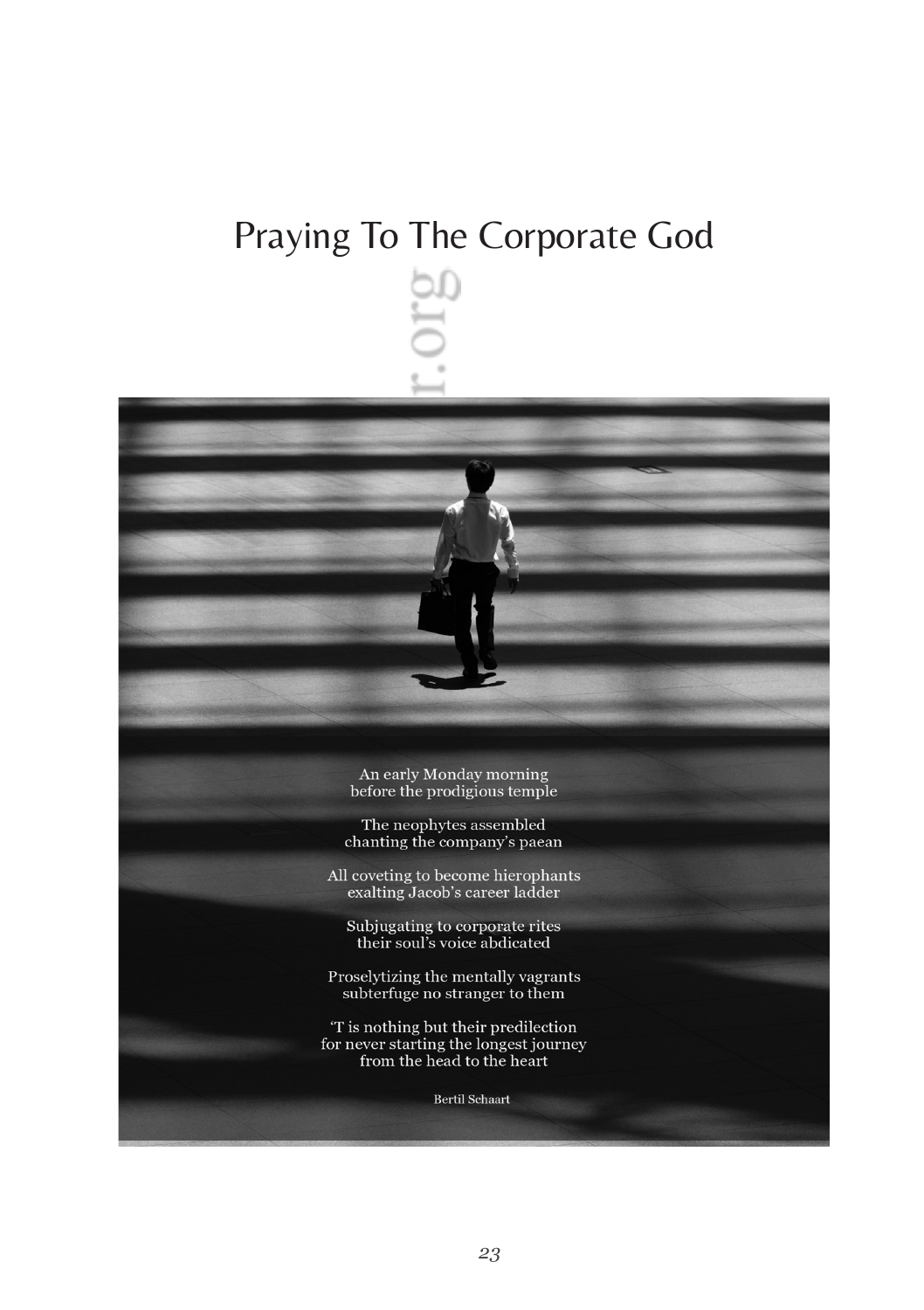### Praying To The Corporate God



The neophytes assembled chanting the company's paean

All coveting to become hierophants<br>exalting Jacob's career ladder

Subjugating to corporate rites<br>their soul's voice abdicated

Proselytizing the mentally vagrants subterfuge no stranger to them

'T is nothing but their predilection for never starting the longest journey from the head to the heart

**Bertil Schaart**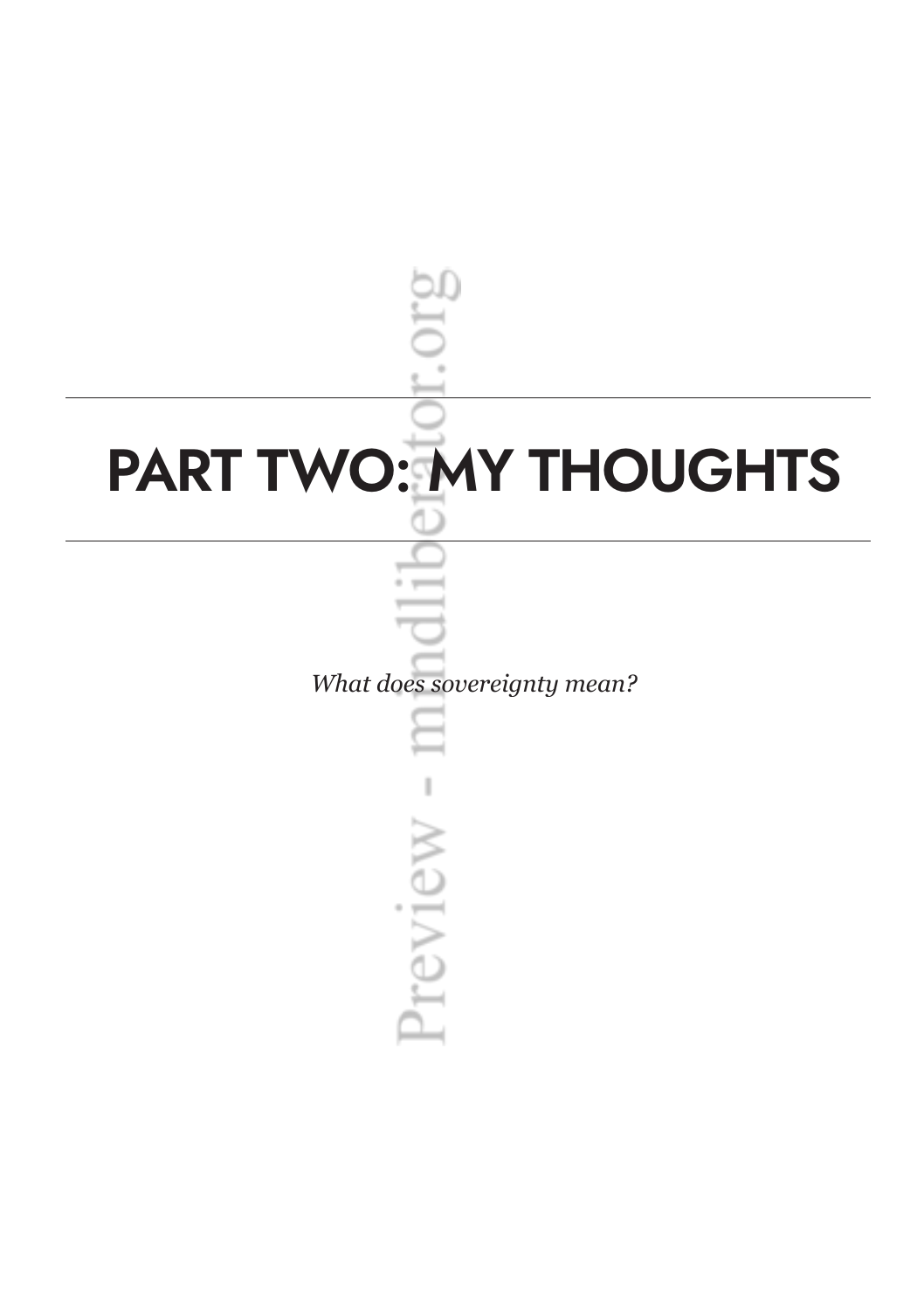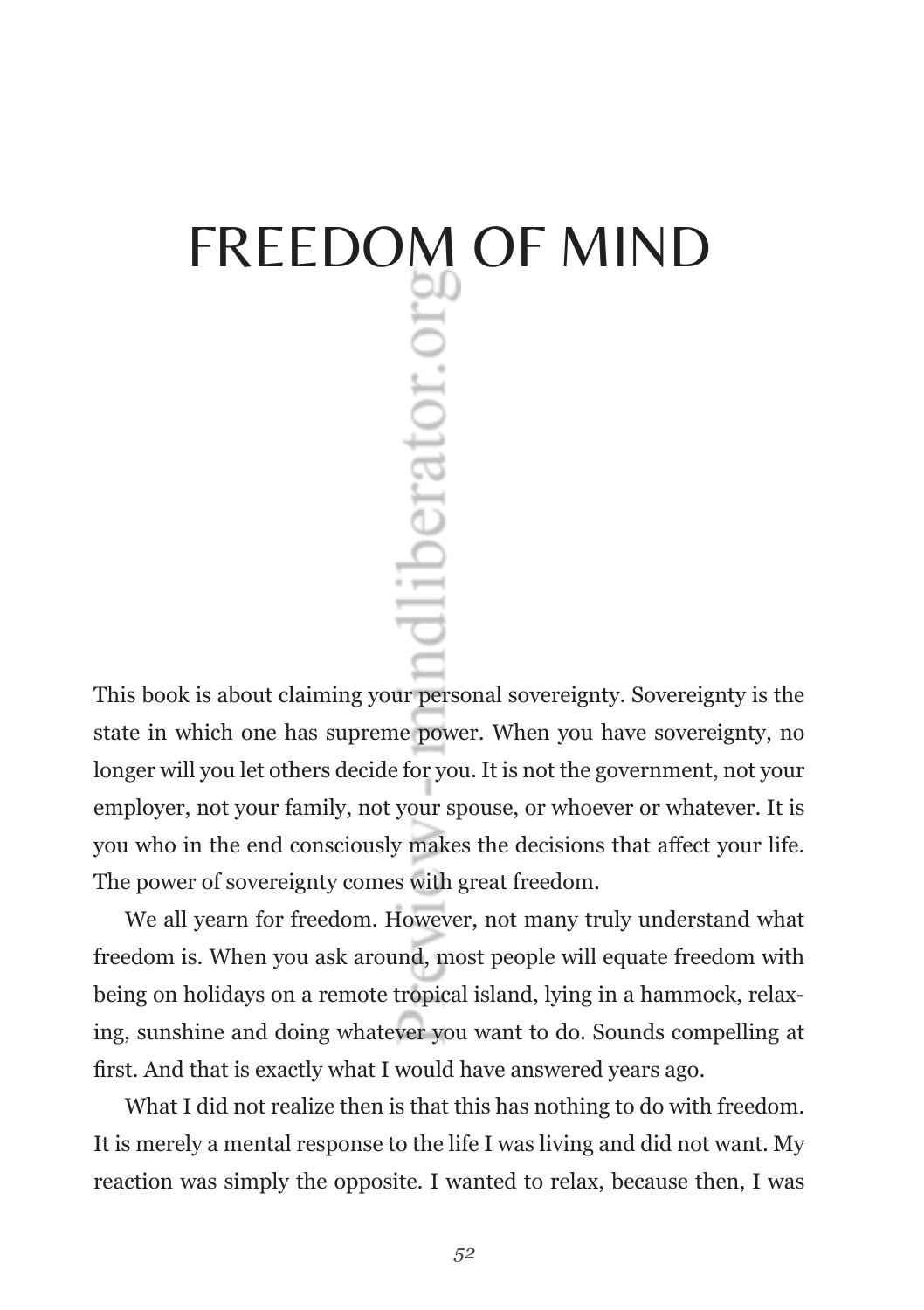# FREEDOM OF MIND<br> **EXAMPLE 2018**<br>  $\frac{1}{2}$ <br>  $\frac{1}{2}$ <br>  $\frac{1}{2}$

This book is about claiming your personal sovereignty. Sovereignty is the state in which one has supreme power. When you have sovereignty, no longer will you let others decide for you. It is not the government, not your employer, not your family, not your spouse, or whoever or whatever. It is you who in the end consciously makes the decisions that affect your life. The power of sovereignty comes with great freedom.

We all yearn for freedom. However, not many truly understand what freedom is. When you ask around, most people will equate freedom with being on holidays on a remote tropical island, lying in a hammock, relaxing, sunshine and doing whatever you want to do. Sounds compelling at first. And that is exactly what I would have answered years ago.

What I did not realize then is that this has nothing to do with freedom. It is merely a mental response to the life I was living and did not want. My reaction was simply the opposite. I wanted to relax, because then, I was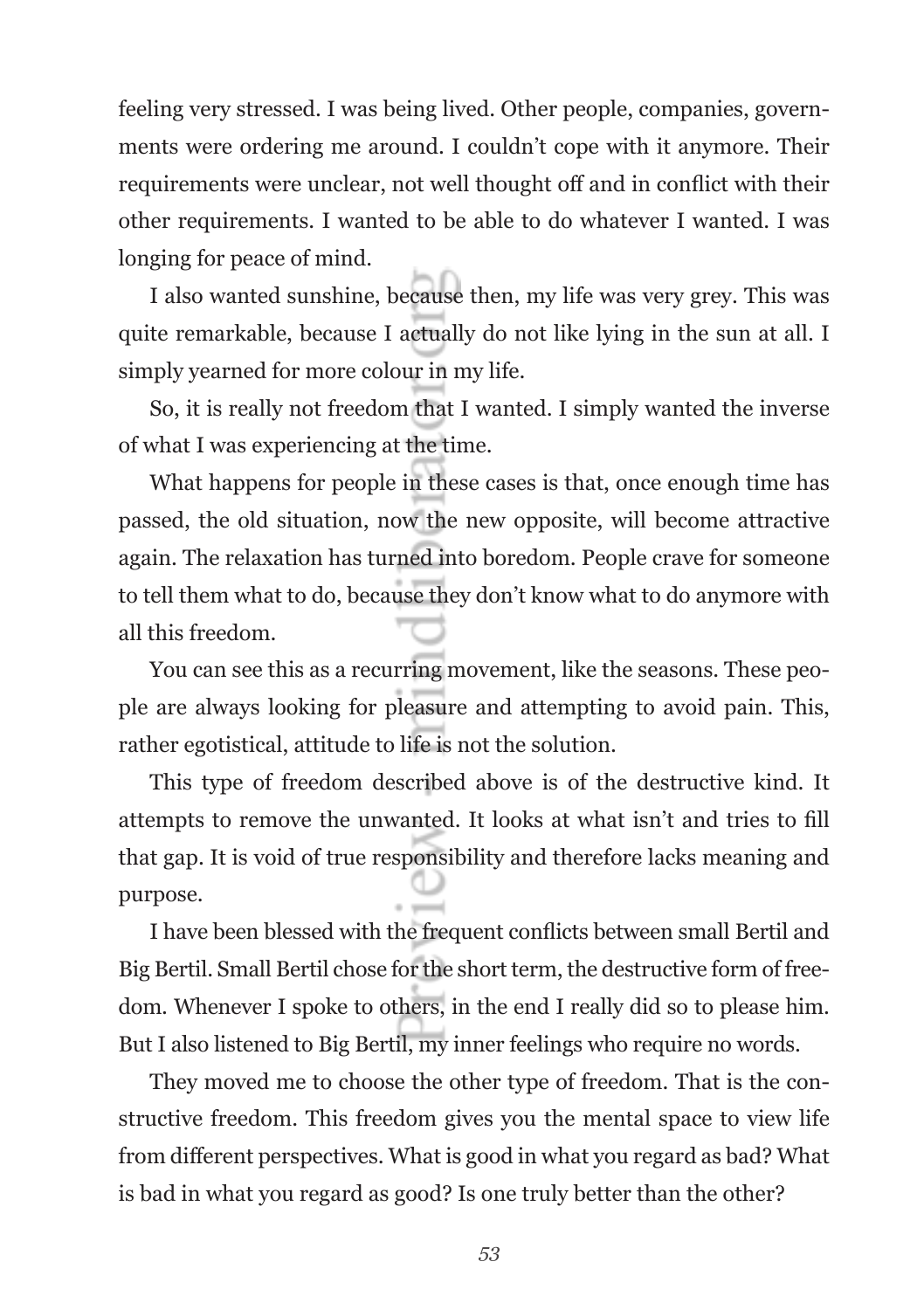feeling very stressed. I was being lived. Other people, companies, governments were ordering me around. I couldn't cope with it anymore. Their requirements were unclear, not well thought off and in conflict with their other requirements. I wanted to be able to do whatever I wanted. I was longing for peace of mind.

I also wanted sunshine, because then, my life was very grey. This was quite remarkable, because I actually do not like lying in the sun at all. I simply yearned for more colour in my life.

So, it is really not freedom that I wanted. I simply wanted the inverse of what I was experiencing at the time.

What happens for people in these cases is that, once enough time has passed, the old situation, now the new opposite, will become attractive again. The relaxation has turned into boredom. People crave for someone to tell them what to do, because they don't know what to do anymore with all this freedom.

You can see this as a recurring movement, like the seasons. These people are always looking for pleasure and attempting to avoid pain. This, rather egotistical, attitude to life is not the solution.

This type of freedom described above is of the destructive kind. It attempts to remove the unwanted. It looks at what isn't and tries to fill that gap. It is void of true responsibility and therefore lacks meaning and purpose.

I have been blessed with the frequent conflicts between small Bertil and Big Bertil. Small Bertil chose for the short term, the destructive form of freedom. Whenever I spoke to others, in the end I really did so to please him. But I also listened to Big Bertil, my inner feelings who require no words.

They moved me to choose the other type of freedom. That is the constructive freedom. This freedom gives you the mental space to view life from different perspectives. What is good in what you regard as bad? What is bad in what you regard as good? Is one truly better than the other?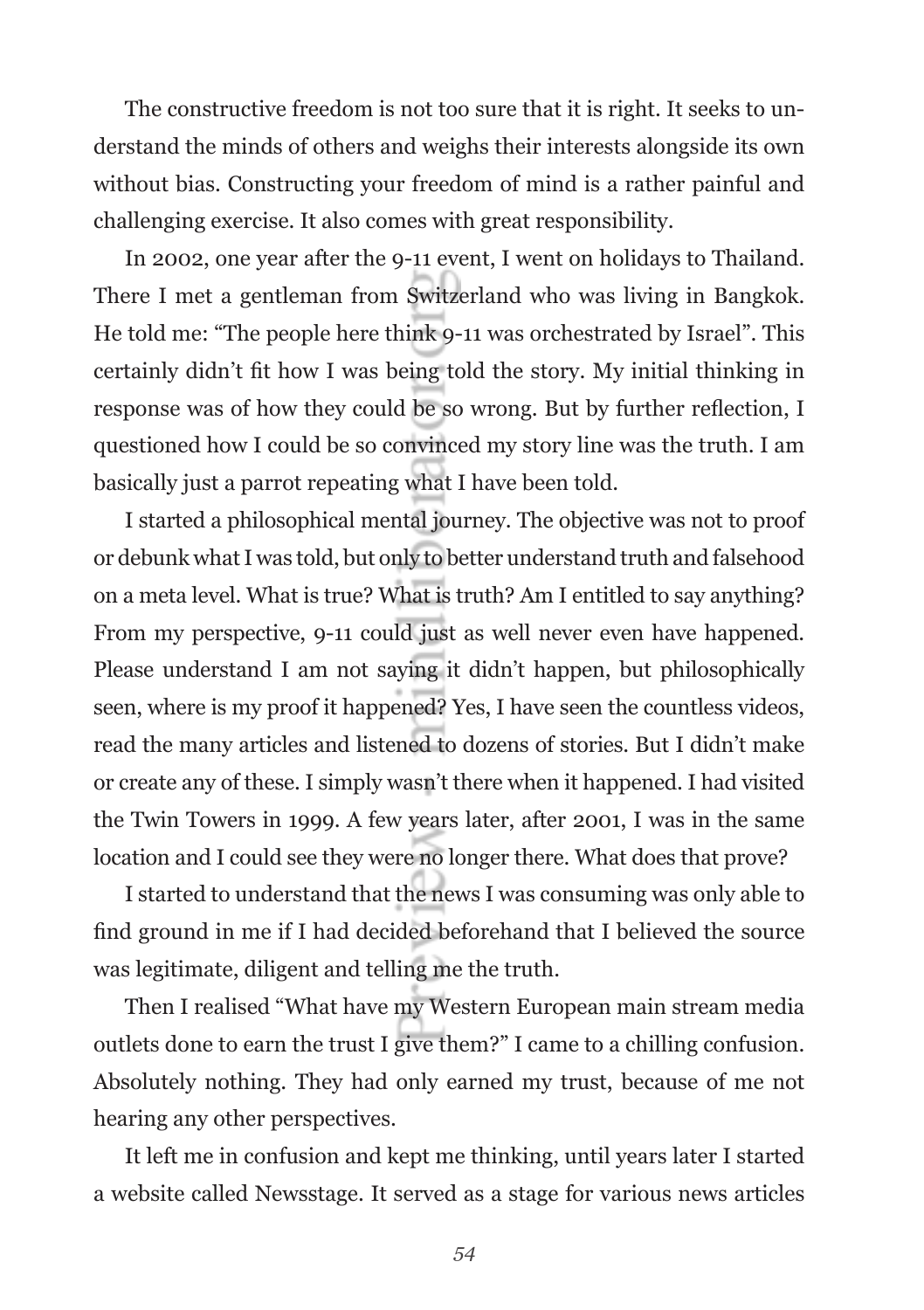The constructive freedom is not too sure that it is right. It seeks to understand the minds of others and weighs their interests alongside its own without bias. Constructing your freedom of mind is a rather painful and challenging exercise. It also comes with great responsibility.

In 2002, one year after the 9-11 event, I went on holidays to Thailand. There I met a gentleman from Switzerland who was living in Bangkok. He told me: "The people here think 9-11 was orchestrated by Israel". This certainly didn't fit how I was being told the story. My initial thinking in response was of how they could be so wrong. But by further reflection, I questioned how I could be so convinced my story line was the truth. I am basically just a parrot repeating what I have been told.

I started a philosophical mental journey. The objective was not to proof or debunk what I was told, but only to better understand truth and falsehood on a meta level. What is true? What is truth? Am I entitled to say anything? From my perspective, 9-11 could just as well never even have happened. Please understand I am not saying it didn't happen, but philosophically seen, where is my proof it happened? Yes, I have seen the countless videos, read the many articles and listened to dozens of stories. But I didn't make or create any of these. I simply wasn't there when it happened. I had visited the Twin Towers in 1999. A few years later, after 2001, I was in the same location and I could see they were no longer there. What does that prove?

I started to understand that the news I was consuming was only able to find ground in me if I had decided beforehand that I believed the source was legitimate, diligent and telling me the truth.

Then I realised "What have my Western European main stream media outlets done to earn the trust I give them?" I came to a chilling confusion. Absolutely nothing. They had only earned my trust, because of me not hearing any other perspectives.

It left me in confusion and kept me thinking, until years later I started a website called Newsstage. It served as a stage for various news articles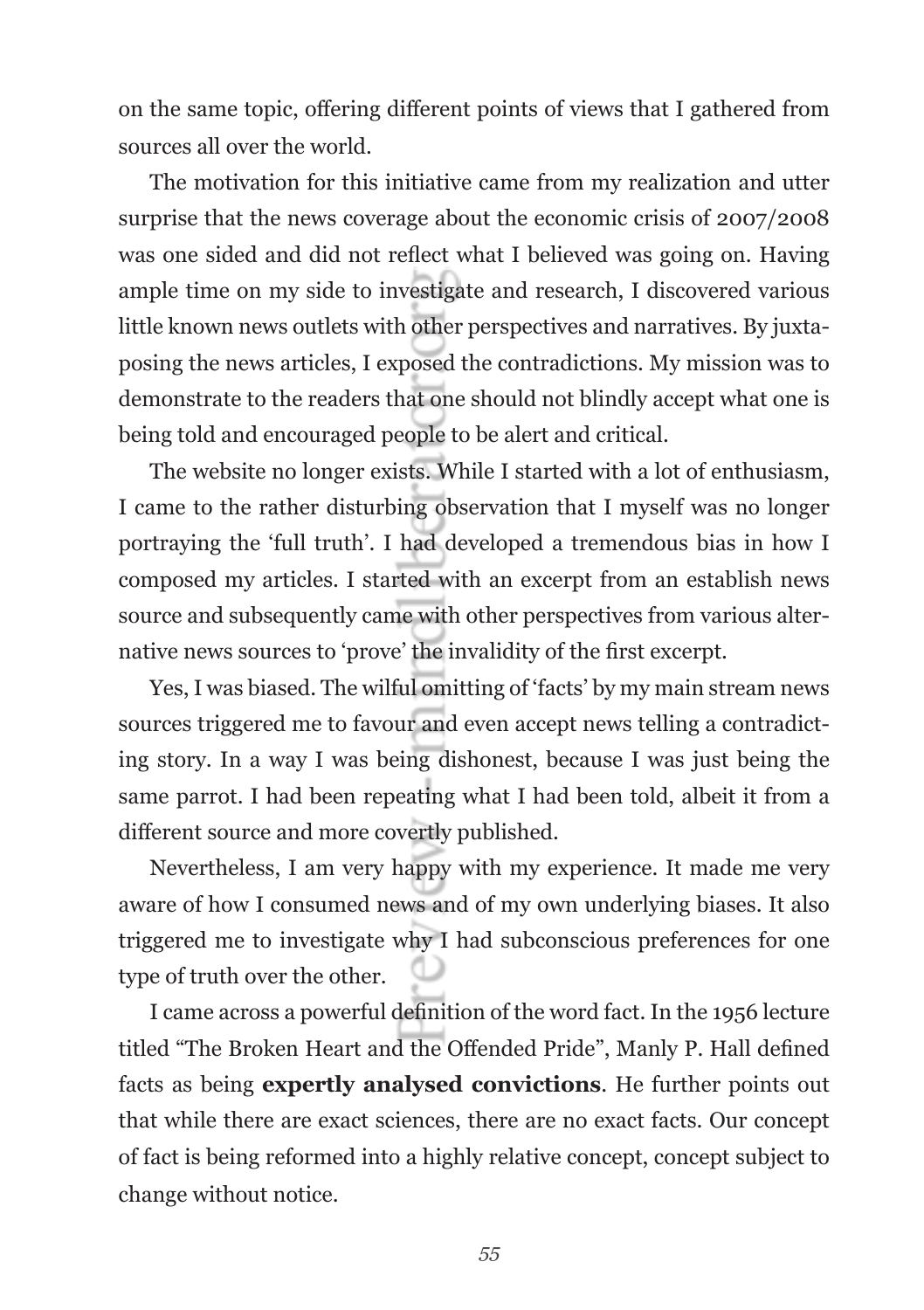on the same topic, offering different points of views that I gathered from sources all over the world.

The motivation for this initiative came from my realization and utter surprise that the news coverage about the economic crisis of 2007/2008 was one sided and did not reflect what I believed was going on. Having ample time on my side to investigate and research, I discovered various little known news outlets with other perspectives and narratives. By juxtaposing the news articles, I exposed the contradictions. My mission was to demonstrate to the readers that one should not blindly accept what one is being told and encouraged people to be alert and critical.

The website no longer exists. While I started with a lot of enthusiasm, I came to the rather disturbing observation that I myself was no longer portraying the 'full truth'. I had developed a tremendous bias in how I composed my articles. I started with an excerpt from an establish news source and subsequently came with other perspectives from various alternative news sources to 'prove' the invalidity of the first excerpt.

Yes, I was biased. The wilful omitting of 'facts' by my main stream news sources triggered me to favour and even accept news telling a contradicting story. In a way I was being dishonest, because I was just being the same parrot. I had been repeating what I had been told, albeit it from a different source and more covertly published.

Nevertheless, I am very happy with my experience. It made me very aware of how I consumed news and of my own underlying biases. It also triggered me to investigate why I had subconscious preferences for one type of truth over the other.

I came across a powerful definition of the word fact. In the 1956 lecture titled "The Broken Heart and the Offended Pride", Manly P. Hall defined facts as being **expertly analysed convictions**. He further points out that while there are exact sciences, there are no exact facts. Our concept of fact is being reformed into a highly relative concept, concept subject to change without notice.

*55*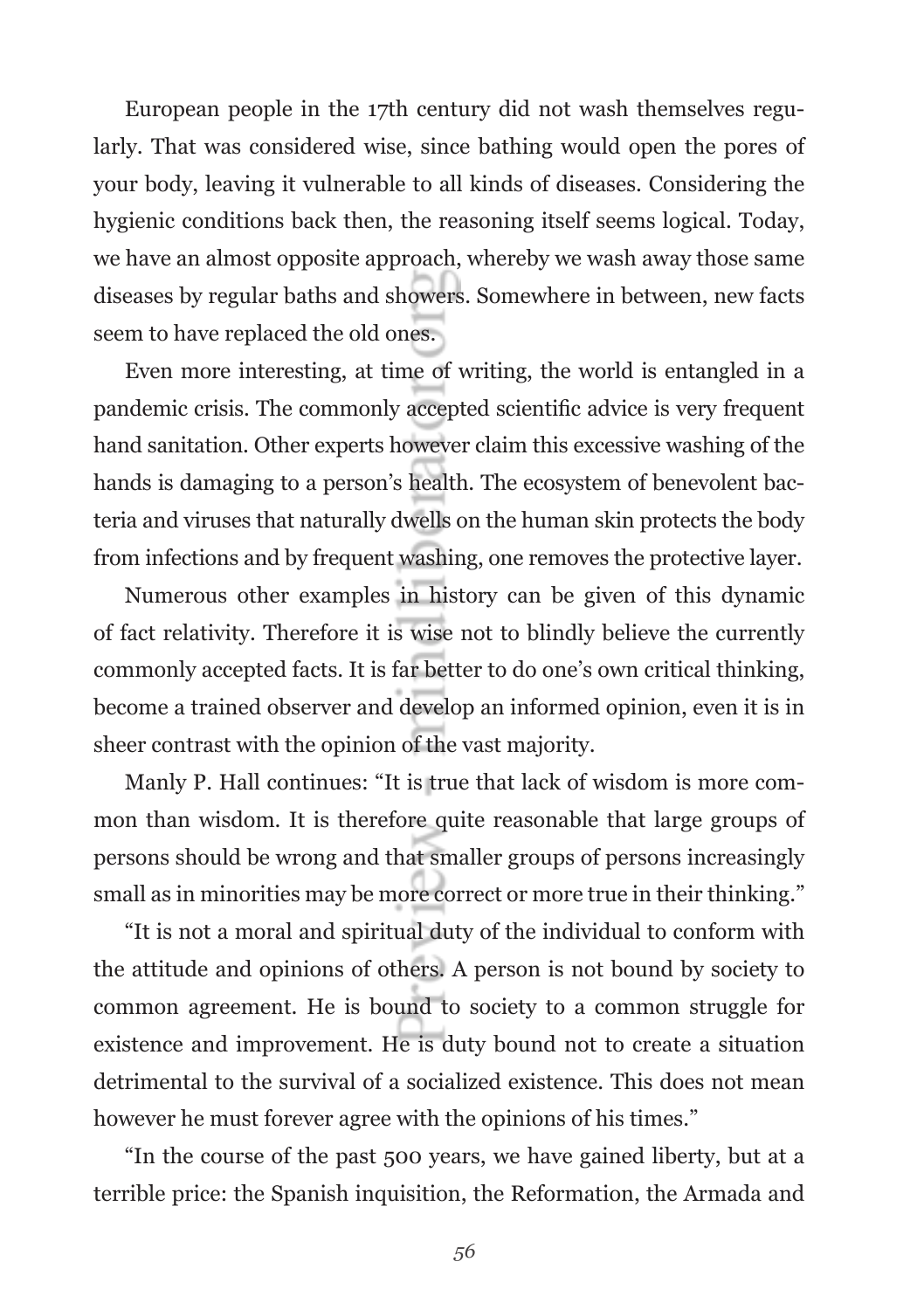European people in the 17th century did not wash themselves regularly. That was considered wise, since bathing would open the pores of your body, leaving it vulnerable to all kinds of diseases. Considering the hygienic conditions back then, the reasoning itself seems logical. Today, we have an almost opposite approach, whereby we wash away those same diseases by regular baths and showers. Somewhere in between, new facts seem to have replaced the old ones.

Even more interesting, at time of writing, the world is entangled in a pandemic crisis. The commonly accepted scientific advice is very frequent hand sanitation. Other experts however claim this excessive washing of the hands is damaging to a person's health. The ecosystem of benevolent bacteria and viruses that naturally dwells on the human skin protects the body from infections and by frequent washing, one removes the protective layer.

Numerous other examples in history can be given of this dynamic of fact relativity. Therefore it is wise not to blindly believe the currently commonly accepted facts. It is far better to do one's own critical thinking, become a trained observer and develop an informed opinion, even it is in sheer contrast with the opinion of the vast majority.

Manly P. Hall continues: "It is true that lack of wisdom is more common than wisdom. It is therefore quite reasonable that large groups of persons should be wrong and that smaller groups of persons increasingly small as in minorities may be more correct or more true in their thinking."

"It is not a moral and spiritual duty of the individual to conform with the attitude and opinions of others. A person is not bound by society to common agreement. He is bound to society to a common struggle for existence and improvement. He is duty bound not to create a situation detrimental to the survival of a socialized existence. This does not mean however he must forever agree with the opinions of his times."

"In the course of the past 500 years, we have gained liberty, but at a terrible price: the Spanish inquisition, the Reformation, the Armada and